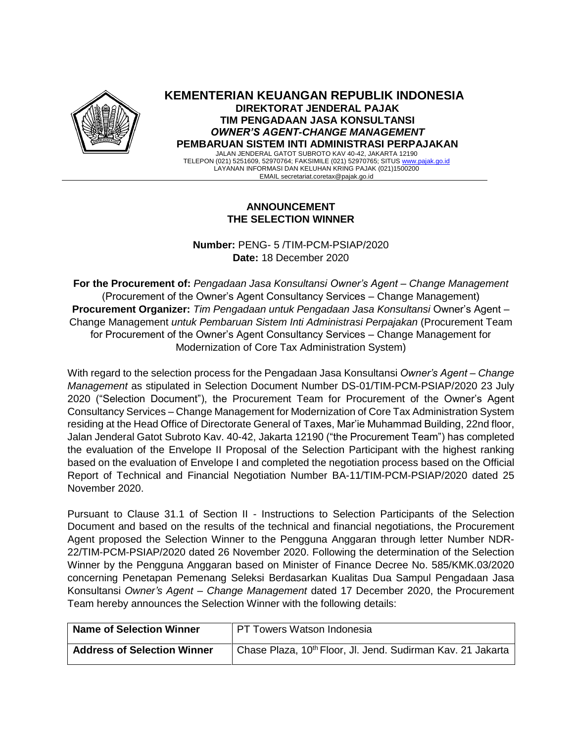

**KEMENTERIAN KEUANGAN REPUBLIK INDONESIA DIREKTORAT JENDERAL PAJAK TIM PENGADAAN JASA KONSULTANSI**  *OWNER'S AGENT-CHANGE MANAGEMENT* **PEMBARUAN SISTEM INTI ADMINISTRASI PERPAJAKAN**

JALAN JENDERAL GATOT SUBROTO KAV 40-42, JAKARTA 12190 TELEPON (021) 5251609, 52970764; FAKSIMILE (021) 52970765; SITUS [www.pajak.go.id](http://www.pajak.go.id/) LAYANAN INFORMASI DAN KELUHAN KRING PAJAK (021)1500200 EMAIL secretariat.coretax@pajak.go.id

## **ANNOUNCEMENT THE SELECTION WINNER**

**Number:** PENG- 5 /TIM-PCM-PSIAP/2020 **Date:** 18 December 2020

**For the Procurement of:** *Pengadaan Jasa Konsultansi Owner's Agent – Change Management* (Procurement of the Owner's Agent Consultancy Services – Change Management) **Procurement Organizer:** *Tim Pengadaan untuk Pengadaan Jasa Konsultansi* Owner's Agent – Change Management *untuk Pembaruan Sistem Inti Administrasi Perpajakan* (Procurement Team for Procurement of the Owner's Agent Consultancy Services – Change Management for Modernization of Core Tax Administration System)

With regard to the selection process for the Pengadaan Jasa Konsultansi *Owner's Agent – Change Management* as stipulated in Selection Document Number DS-01/TIM-PCM-PSIAP/2020 23 July 2020 ("Selection Document"), the Procurement Team for Procurement of the Owner's Agent Consultancy Services – Change Management for Modernization of Core Tax Administration System residing at the Head Office of Directorate General of Taxes, Mar'ie Muhammad Building, 22nd floor, Jalan Jenderal Gatot Subroto Kav. 40-42, Jakarta 12190 ("the Procurement Team") has completed the evaluation of the Envelope II Proposal of the Selection Participant with the highest ranking based on the evaluation of Envelope I and completed the negotiation process based on the Official Report of Technical and Financial Negotiation Number BA-11/TIM-PCM-PSIAP/2020 dated 25 November 2020.

Pursuant to Clause 31.1 of Section II - Instructions to Selection Participants of the Selection Document and based on the results of the technical and financial negotiations, the Procurement Agent proposed the Selection Winner to the Pengguna Anggaran through letter Number NDR-22/TIM-PCM-PSIAP/2020 dated 26 November 2020. Following the determination of the Selection Winner by the Pengguna Anggaran based on Minister of Finance Decree No. 585/KMK.03/2020 concerning Penetapan Pemenang Seleksi Berdasarkan Kualitas Dua Sampul Pengadaan Jasa Konsultansi *Owner's Agent – Change Management* dated 17 December 2020, the Procurement Team hereby announces the Selection Winner with the following details:

| <b>Name of Selection Winner</b>    | PT Towers Watson Indonesia                                              |
|------------------------------------|-------------------------------------------------------------------------|
| <b>Address of Selection Winner</b> | Chase Plaza, 10 <sup>th</sup> Floor, Jl. Jend. Sudirman Kav. 21 Jakarta |